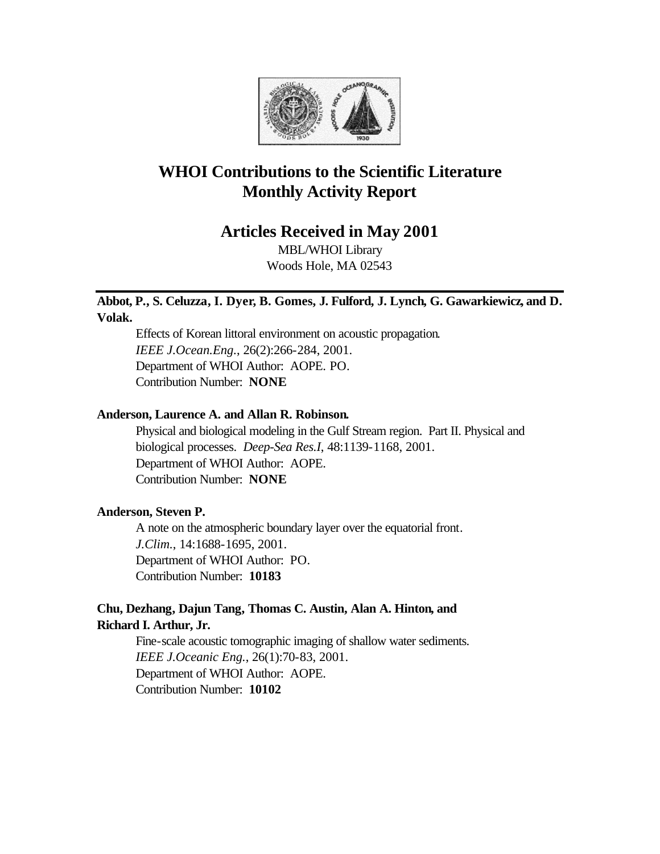

# **WHOI Contributions to the Scientific Literature Monthly Activity Report**

## **Articles Received in May 2001**

MBL/WHOI Library Woods Hole, MA 02543

## **Abbot, P., S. Celuzza, I. Dyer, B. Gomes, J. Fulford, J. Lynch, G. Gawarkiewicz, and D. Volak.**

Effects of Korean littoral environment on acoustic propagation. *IEEE J.Ocean.Eng.*, 26(2):266-284, 2001. Department of WHOI Author: AOPE. PO. Contribution Number: **NONE**

## **Anderson, Laurence A. and Allan R. Robinson.**

Physical and biological modeling in the Gulf Stream region. Part II. Physical and biological processes. *Deep-Sea Res.I*, 48:1139-1168, 2001. Department of WHOI Author: AOPE. Contribution Number: **NONE**

## **Anderson, Steven P.**

A note on the atmospheric boundary layer over the equatorial front. *J.Clim.*, 14:1688-1695, 2001. Department of WHOI Author: PO. Contribution Number: **10183**

## **Chu, Dezhang, Dajun Tang, Thomas C. Austin, Alan A. Hinton, and Richard I. Arthur, Jr.**

Fine-scale acoustic tomographic imaging of shallow water sediments. *IEEE J.Oceanic Eng.*, 26(1):70-83, 2001. Department of WHOI Author: AOPE. Contribution Number: **10102**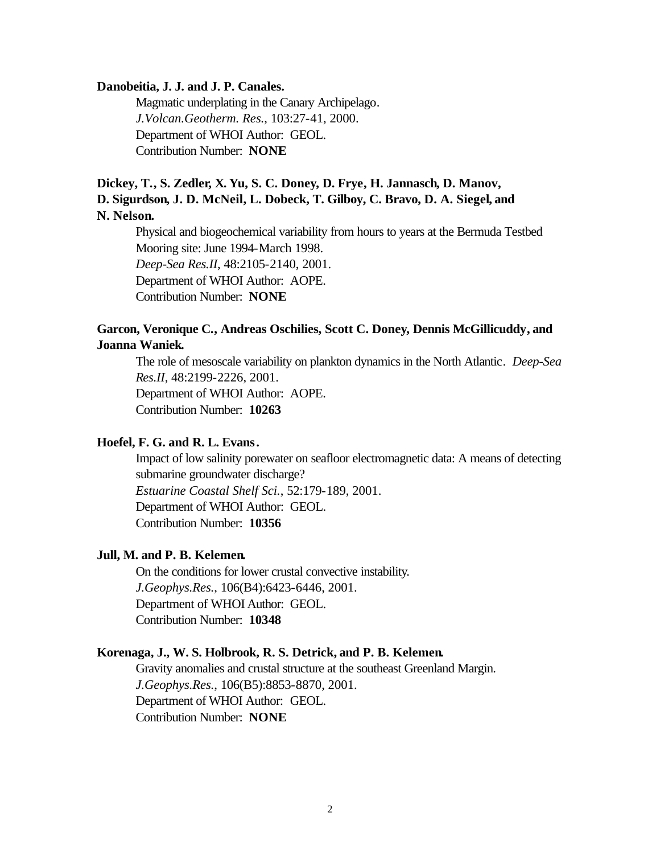#### **Danobeitia, J. J. and J. P. Canales.**

Magmatic underplating in the Canary Archipelago. *J.Volcan.Geotherm. Res.*, 103:27-41, 2000. Department of WHOI Author: GEOL. Contribution Number: **NONE**

## **Dickey, T., S. Zedler, X. Yu, S. C. Doney, D. Frye, H. Jannasch, D. Manov, D. Sigurdson, J. D. McNeil, L. Dobeck, T. Gilboy, C. Bravo, D. A. Siegel, and N. Nelson.**

Physical and biogeochemical variability from hours to years at the Bermuda Testbed Mooring site: June 1994-March 1998. *Deep-Sea Res.II*, 48:2105-2140, 2001. Department of WHOI Author: AOPE. Contribution Number: **NONE**

## **Garcon, Veronique C., Andreas Oschilies, Scott C. Doney, Dennis McGillicuddy, and Joanna Waniek.**

The role of mesoscale variability on plankton dynamics in the North Atlantic. *Deep-Sea Res.II*, 48:2199-2226, 2001. Department of WHOI Author: AOPE. Contribution Number: **10263**

## **Hoefel, F. G. and R. L. Evans.**

Impact of low salinity porewater on seafloor electromagnetic data: A means of detecting submarine groundwater discharge? *Estuarine Coastal Shelf Sci.*, 52:179-189, 2001. Department of WHOI Author: GEOL. Contribution Number: **10356**

#### **Jull, M. and P. B. Kelemen.**

On the conditions for lower crustal convective instability. *J.Geophys.Res.*, 106(B4):6423-6446, 2001. Department of WHOI Author: GEOL. Contribution Number: **10348**

#### **Korenaga, J., W. S. Holbrook, R. S. Detrick, and P. B. Kelemen.**

Gravity anomalies and crustal structure at the southeast Greenland Margin. *J.Geophys.Res.*, 106(B5):8853-8870, 2001. Department of WHOI Author: GEOL. Contribution Number: **NONE**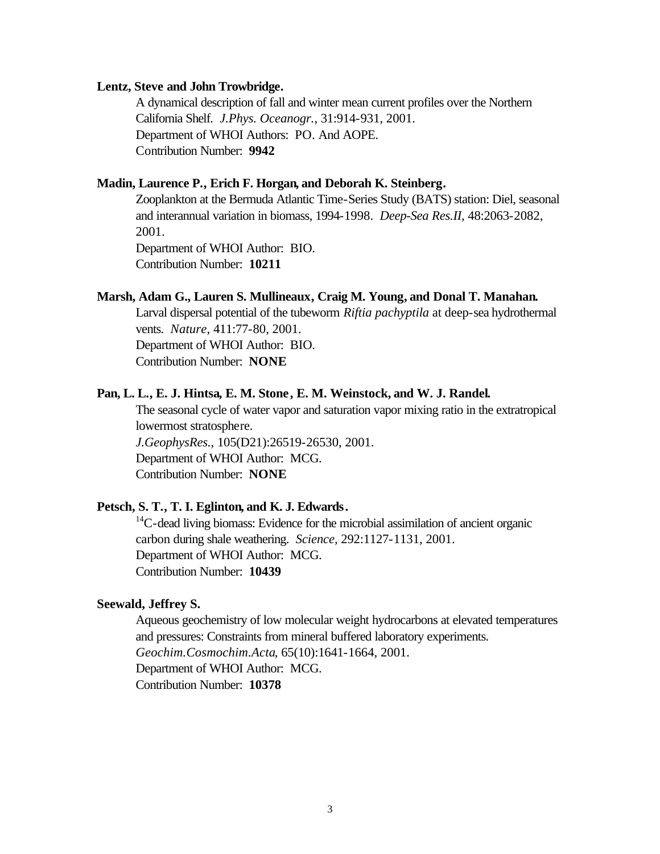#### **Lentz, Steve and John Trowbridge.**

A dynamical description of fall and winter mean current profiles over the Northern California Shelf. *J.Phys. Oceanogr.*, 31:914-931, 2001. Department of WHOI Authors: PO. And AOPE. Contribution Number: **9942**

#### **Madin, Laurence P., Erich F. Horgan, and Deborah K. Steinberg.**

Zooplankton at the Bermuda Atlantic Time-Series Study (BATS) station: Diel, seasonal and interannual variation in biomass, 1994-1998. *Deep-Sea Res.II*, 48:2063-2082, 2001.

Department of WHOI Author: BIO. Contribution Number: **10211**

#### **Marsh, Adam G., Lauren S. Mullineaux, Craig M. Young, and Donal T. Manahan.**

Larval dispersal potential of the tubeworm *Riftia pachyptila* at deep-sea hydrothermal vents. *Nature*, 411:77-80, 2001.

Department of WHOI Author: BIO. Contribution Number: **NONE**

#### **Pan, L. L., E. J. Hintsa, E. M. Stone , E. M. Weinstock, and W. J. Randel.**

The seasonal cycle of water vapor and saturation vapor mixing ratio in the extratropical lowermost stratosphere. *J.GeophysRes.*, 105(D21):26519-26530, 2001. Department of WHOI Author: MCG. Contribution Number: **NONE**

#### **Petsch, S. T., T. I. Eglinton, and K. J. Edwards.**

 $14$ C-dead living biomass: Evidence for the microbial assimilation of ancient organic carbon during shale weathering. *Science*, 292:1127-1131, 2001. Department of WHOI Author: MCG. Contribution Number: **10439**

#### **Seewald, Jeffrey S.**

Aqueous geochemistry of low molecular weight hydrocarbons at elevated temperatures and pressures: Constraints from mineral buffered laboratory experiments. *Geochim.Cosmochim.Acta*, 65(10):1641-1664, 2001. Department of WHOI Author: MCG. Contribution Number: **10378**